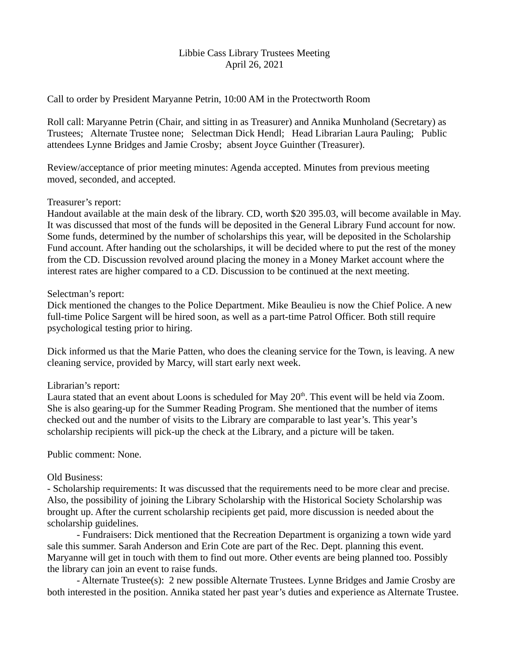#### Libbie Cass Library Trustees Meeting April 26, 2021

Call to order by President Maryanne Petrin, 10:00 AM in the Protectworth Room

Roll call: Maryanne Petrin (Chair, and sitting in as Treasurer) and Annika Munholand (Secretary) as Trustees; Alternate Trustee none; Selectman Dick Hendl; Head Librarian Laura Pauling; Public attendees Lynne Bridges and Jamie Crosby; absent Joyce Guinther (Treasurer).

Review/acceptance of prior meeting minutes: Agenda accepted. Minutes from previous meeting moved, seconded, and accepted.

#### Treasurer's report:

Handout available at the main desk of the library. CD, worth \$20 395.03, will become available in May. It was discussed that most of the funds will be deposited in the General Library Fund account for now. Some funds, determined by the number of scholarships this year, will be deposited in the Scholarship Fund account. After handing out the scholarships, it will be decided where to put the rest of the money from the CD. Discussion revolved around placing the money in a Money Market account where the interest rates are higher compared to a CD. Discussion to be continued at the next meeting.

#### Selectman's report:

Dick mentioned the changes to the Police Department. Mike Beaulieu is now the Chief Police. A new full-time Police Sargent will be hired soon, as well as a part-time Patrol Officer. Both still require psychological testing prior to hiring.

Dick informed us that the Marie Patten, who does the cleaning service for the Town, is leaving. A new cleaning service, provided by Marcy, will start early next week.

# Librarian's report:

Laura stated that an event about Loons is scheduled for May  $20<sup>th</sup>$ . This event will be held via Zoom. She is also gearing-up for the Summer Reading Program. She mentioned that the number of items checked out and the number of visits to the Library are comparable to last year's. This year's scholarship recipients will pick-up the check at the Library, and a picture will be taken.

# Public comment: None.

# Old Business:

- Scholarship requirements: It was discussed that the requirements need to be more clear and precise. Also, the possibility of joining the Library Scholarship with the Historical Society Scholarship was brought up. After the current scholarship recipients get paid, more discussion is needed about the scholarship guidelines.

- Fundraisers: Dick mentioned that the Recreation Department is organizing a town wide yard sale this summer. Sarah Anderson and Erin Cote are part of the Rec. Dept. planning this event. Maryanne will get in touch with them to find out more. Other events are being planned too. Possibly the library can join an event to raise funds.

- Alternate Trustee(s): 2 new possible Alternate Trustees. Lynne Bridges and Jamie Crosby are both interested in the position. Annika stated her past year's duties and experience as Alternate Trustee.